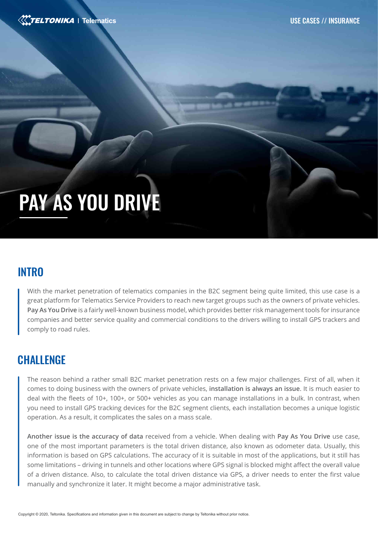

# PAY AS YOU DRIVE

# **INTRO**

With the market penetration of telematics companies in the B2C segment being quite limited, this use case is a great platform for Telematics Service Providers to reach new target groups such as the owners of private vehicles. **Pay As You Drive** is a fairly well-known business model, which provides better risk management tools for insurance companies and better service quality and commercial conditions to the drivers willing to install GPS trackers and comply to road rules.

# **CHALLENGE**

The reason behind a rather small B2C market penetration rests on a few major challenges. First of all, when it comes to doing business with the owners of private vehicles, **installation is always an issue**. It is much easier to deal with the fleets of 10+, 100+, or 500+ vehicles as you can manage installations in a bulk. In contrast, when you need to install GPS tracking devices for the B2C segment clients, each installation becomes a unique logistic operation. As a result, it complicates the sales on a mass scale.

**Another issue is the accuracy of data** received from a vehicle. When dealing with **Pay As You Drive** use case, one of the most important parameters is the total driven distance, also known as odometer data. Usually, this information is based on GPS calculations. The accuracy of it is suitable in most of the applications, but it still has some limitations – driving in tunnels and other locations where GPS signal is blocked might affect the overall value of a driven distance. Also, to calculate the total driven distance via GPS, a driver needs to enter the first value manually and synchronize it later. It might become a major administrative task.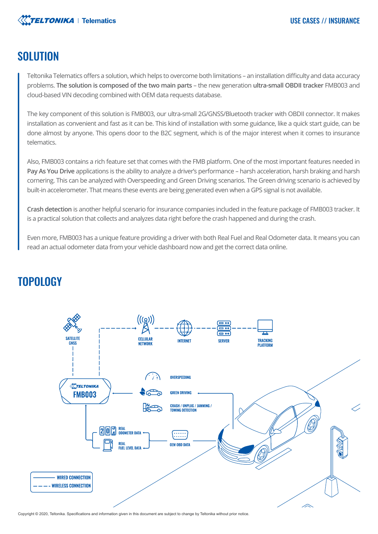

## SOLUTION

Teltonika Telematics offers a solution, which helps to overcome both limitations – an installation difficulty and data accuracy problems. **The solution is composed of the two main parts** – the new generation **ultra-small OBDII tracker** FMB003 and cloud-based VIN decoding combined with OEM data requests database.

The key component of this solution is FMB003, our ultra-small 2G/GNSS/Bluetooth tracker with OBDII connector. It makes installation as convenient and fast as it can be. This kind of installation with some guidance, like a quick start guide, can be done almost by anyone. This opens door to the B2C segment, which is of the major interest when it comes to insurance telematics.

Also, FMB003 contains a rich feature set that comes with the FMB platform. One of the most important features needed in **Pay As You Drive** applications is the ability to analyze a driver's performance – harsh acceleration, harsh braking and harsh cornering. This can be analyzed with Overspeeding and Green Driving scenarios. The Green driving scenario is achieved by built-in accelerometer. That means these events are being generated even when a GPS signal is not available.

**Crash detection** is another helpful scenario for insurance companies included in the feature package of FMB003 tracker. It is a practical solution that collects and analyzes data right before the crash happened and during the crash.

Even more, FMB003 has a unique feature providing a driver with both Real Fuel and Real Odometer data. It means you can read an actual odometer data from your vehicle dashboard now and get the correct data online.



# TOPOLOGY

Copyright © 2020, Teltonika. Specifications and information given in this document are subject to change by Teltonika without prior notice.